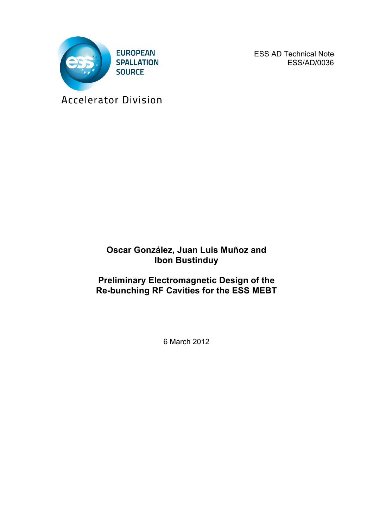

ESS AD Technical Note ESS/AD/0036

Accelerator Division

## **Oscar González, Juan Luis Muñoz and Ibon Bustinduy**

## **Preliminary Electromagnetic Design of the Re-bunching RF Cavities for the ESS MEBT**

6 March 2012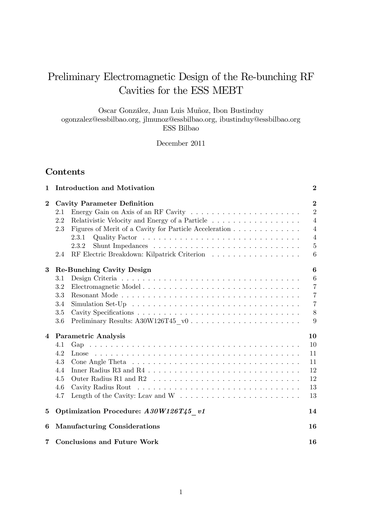# Preliminary Electromagnetic Design of the Re-bunching RF Cavities for the ESS MEBT

Oscar González, Juan Luis Muñoz, Ibon Bustinduy ogonzalez@essbilbao.org, jlmunoz@essbilbao.org, ibustinduy@essbilbao.org ESS Bilbao

December 2011

## **Contents**

| 1        | <b>Introduction and Motivation</b>                            | $\bf{2}$       |
|----------|---------------------------------------------------------------|----------------|
| $\bf{2}$ | <b>Cavity Parameter Definition</b>                            | $\bf{2}$       |
|          | 2.1                                                           | $\overline{2}$ |
|          | 2.2<br>Relativistic Velocity and Energy of a Particle         | $\overline{4}$ |
|          | Figures of Merit of a Cavity for Particle Acceleration<br>2.3 | $\overline{4}$ |
|          | 2.3.1                                                         | $\overline{4}$ |
|          | 2.3.2                                                         | $\overline{5}$ |
|          | 2.4                                                           | 6              |
| 3        | Re-Bunching Cavity Design                                     | 6              |
|          | 3.1                                                           | 6              |
|          | 3.2                                                           | $\overline{7}$ |
|          | 3.3                                                           | $\overline{7}$ |
|          | 3.4                                                           | $\overline{7}$ |
|          | 3.5                                                           | 8              |
|          | Preliminary Results: A30W126T45 v0<br>3.6                     | 9              |
| 4        | <b>Parametric Analysis</b>                                    | 10             |
|          | 4.1                                                           | 10             |
|          | 4.2                                                           | 11             |
|          | 4.3                                                           | 11             |
|          | 4.4                                                           | 12             |
|          | 4.5                                                           | 12             |
|          | 4.6                                                           | 13             |
|          | 4.7                                                           | 13             |
| 5        | Optimization Procedure: A30W126T45 v1                         | 14             |
| 6        | <b>Manufacturing Considerations</b>                           | 16             |
| 7        | <b>Conclusions and Future Work</b>                            | 16             |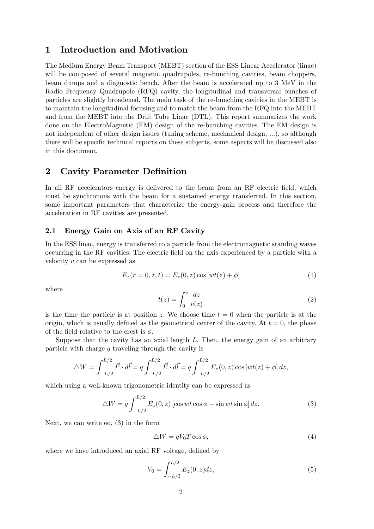### 1 Introduction and Motivation

The Medium Energy Beam Transport (MEBT) section of the ESS Linear Accelerator (linac) will be composed of several magnetic quadrupoles, re-bunching cavities, beam choppers, beam dumps and a diagnostic bench. After the beam is accelerated up to 3 MeV in the Radio Frequency Quadrupole (RFQ) cavity, the longitudinal and transversal bunches of particles are slightly broadened. The main task of the re-bunching cavities in the MEBT is to maintain the longitudinal focusing and to match the beam from the RFQ into the MEBT and from the MEBT into the Drift Tube Linac (DTL). This report summarizes the work done on the ElectroMagnetic (EM) design of the re-bunching cavities. The EM design is not independent of other design issues (tuning scheme, mechanical design, ...), so although there will be specific technical reports on these subjects, some aspects will be discussed also in this document.

## 2 Cavity Parameter Definition

In all RF accelerators energy is delivered to the beam from an RF electric field, which must be synchronous with the beam for a sustained energy transferred. In this section, some important parameters that characterize the energy-gain process and therefore the acceleration in RF cavities are presented.

#### 2.1 Energy Gain on Axis of an RF Cavity

In the ESS linac, energy is transferred to a particle from the electromagnetic standing waves occurring in the RF cavities. The electric field on the axis experienced by a particle with a velocity v can be expressed as

$$
E_z(r = 0, z, t) = E_z(0, z) \cos [wt(z) + \phi]
$$
\n(1)

where

$$
t(z) = \int_0^z \frac{dz}{v(z)}\tag{2}
$$

is the time the particle is at position z. We choose time  $t = 0$  when the particle is at the origin, which is usually defined as the geometrical center of the cavity. At  $t = 0$ , the phase of the field relative to the crest is  $\phi$ .

Suppose that the cavity has an axial length  $L$ . Then, the energy gain of an arbitrary particle with charge q traveling through the cavity is

$$
\triangle W = \int_{-L/2}^{L/2} \vec{F} \cdot d\vec{l} = q \int_{-L/2}^{L/2} \vec{E} \cdot d\vec{l} = q \int_{-L/2}^{L/2} E_z(0, z) \cos [wt(z) + \phi] dz,
$$

which using a well-known trigonometric identity can be expressed as

$$
\triangle W = q \int_{-L/2}^{L/2} E_z(0, z) \left[ \cos wt \cos \phi - \sin wt \sin \phi \right] dz.
$$
 (3)

Next, we can write eq. (3) in the form

$$
\triangle W = qV_0 T \cos \phi,\tag{4}
$$

where we have introduced an axial RF voltage, defined by

$$
V_0 = \int_{-L/2}^{L/2} E_z(0, z) dz,
$$
\n(5)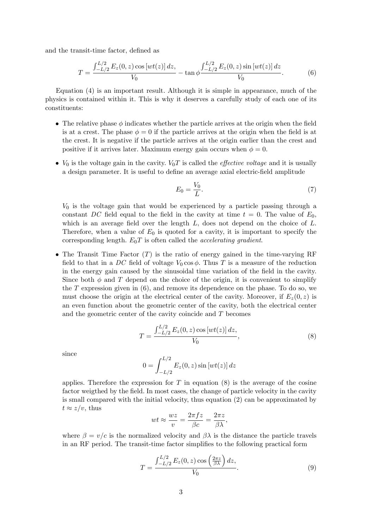and the transit-time factor, defined as

$$
T = \frac{\int_{-L/2}^{L/2} E_z(0, z) \cos [wt(z)] dz}{V_0} - \tan \phi \frac{\int_{-L/2}^{L/2} E_z(0, z) \sin [wt(z)] dz}{V_0}.
$$
 (6)

Equation (4) is an important result. Although it is simple in appearance, much of the physics is contained within it. This is why it deserves a carefully study of each one of its constituents:

- $\bullet$  The relative phase  $\phi$  indicates whether the particle arrives at the origin when the field is at a crest. The phase  $\phi = 0$  if the particle arrives at the origin when the field is at the crest. It is negative if the particle arrives at the origin earlier than the crest and positive if it arrives later. Maximum energy gain occurs when  $\phi = 0$ .
- $V_0$  is the voltage gain in the cavity.  $V_0T$  is called the *effective voltage* and it is usually a design parameter. It is useful to define an average axial electric-field amplitude

$$
E_0 = \frac{V_0}{L}.\tag{7}
$$

 $V_0$  is the voltage gain that would be experienced by a particle passing through a constant DC field equal to the field in the cavity at time  $t = 0$ . The value of  $E_0$ , which is an average field over the length  $L$ , does not depend on the choice of  $L$ . Therefore, when a value of  $E_0$  is quoted for a cavity, it is important to specify the corresponding length.  $E_0T$  is often called the *accelerating gradient*.

• The Transit Time Factor  $(T)$  is the ratio of energy gained in the time-varying RF field to that in a DC field of voltage  $V_0 \cos \phi$ . Thus T is a measure of the reduction in the energy gain caused by the sinusoidal time variation of the Öeld in the cavity. Since both  $\phi$  and T depend on the choice of the origin, it is convenient to simplify the  $T$  expression given in  $(6)$ , and remove its dependence on the phase. To do so, we must choose the origin at the electrical center of the cavity. Moreover, if  $E_z(0, z)$  is an even function about the geometric center of the cavity, both the electrical center and the geometric center of the cavity coincide and T becomes

$$
T = \frac{\int_{-L/2}^{L/2} E_z(0, z) \cos [wt(z)] dz}{V_0},
$$
\n(8)

since

$$
0 = \int_{-L/2}^{L/2} E_z(0, z) \sin [wt(z)] \, dz
$$

applies. Therefore the expression for T in equation  $(8)$  is the average of the cosine factor weigthed by the field. In most cases, the change of particle velocity in the cavity is small compared with the initial velocity, thus equation (2) can be approximated by  $t \approx z/v$ , thus

$$
wt \approx \frac{wz}{v} = \frac{2\pi fz}{\beta c} = \frac{2\pi z}{\beta \lambda},
$$

where  $\beta = v/c$  is the normalized velocity and  $\beta \lambda$  is the distance the particle travels in an RF period. The transit-time factor simplifies to the following practical form

$$
T = \frac{\int_{-L/2}^{L/2} E_z(0, z) \cos\left(\frac{2\pi z}{\beta \lambda}\right) dz}{V_0}.
$$
\n
$$
(9)
$$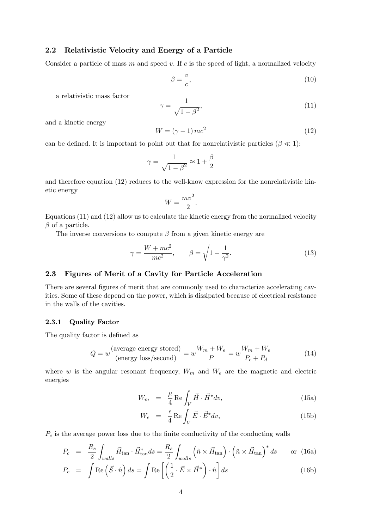## 2.2 Relativistic Velocity and Energy of a Particle

Consider a particle of mass m and speed v. If c is the speed of light, a normalized velocity

$$
\beta = \frac{v}{c},\tag{10}
$$

a relativistic mass factor

$$
\gamma = \frac{1}{\sqrt{1 - \beta^2}},\tag{11}
$$

and a kinetic energy

$$
W = (\gamma - 1)mc^2 \tag{12}
$$

can be defined. It is important to point out that for nonrelativistic particles ( $\beta \ll 1$ ):

$$
\gamma = \frac{1}{\sqrt{1 - \beta^2}} \approx 1 + \frac{\beta}{2}
$$

and therefore equation (12) reduces to the well-know expression for the nonrelativistic kinetic energy

$$
W = \frac{mv^2}{2}.
$$

Equations (11) and (12) allow us to calculate the kinetic energy from the normalized velocity  $\beta$  of a particle.

The inverse conversions to compute  $\beta$  from a given kinetic energy are

$$
\gamma = \frac{W + mc^2}{mc^2}, \qquad \beta = \sqrt{1 - \frac{1}{\gamma^2}}.
$$
\n(13)

#### 2.3 Figures of Merit of a Cavity for Particle Acceleration

There are several figures of merit that are commonly used to characterize accelerating cavities. Some of these depend on the power, which is dissipated because of electrical resistance in the walls of the cavities.

#### 2.3.1 Quality Factor

The quality factor is defined as

$$
Q = w \frac{\text{(average energy stored)}}{\text{(energy loss/second)}} = w \frac{W_m + W_e}{P} = w \frac{W_m + W_e}{P_c + P_d} \tag{14}
$$

where w is the angular resonant frequency,  $W_m$  and  $W_e$  are the magnetic and electric energies

$$
W_m = \frac{\mu}{4} \operatorname{Re} \int_V \vec{H} \cdot \vec{H}^* dv,
$$
\n(15a)

$$
W_e = \frac{\epsilon}{4} \operatorname{Re} \int_V \vec{E} \cdot \vec{E}^* dv, \qquad (15b)
$$

 $P_c$  is the average power loss due to the finite conductivity of the conducting walls

$$
P_c = \frac{R_s}{2} \int_{walls} \vec{H}_{\text{tan}} \cdot \vec{H}_{\text{tan}}^* ds = \frac{R_s}{2} \int_{walls} \left(\hat{n} \times \vec{H}_{\text{tan}}\right) \cdot \left(\hat{n} \times \vec{H}_{\text{tan}}\right)^* ds \quad \text{or (16a)}
$$

$$
P_c = \int \text{Re} \left( \vec{S} \cdot \hat{n} \right) ds = \int \text{Re} \left[ \left( \frac{1}{2} \cdot \vec{E} \times \vec{H}^* \right) \cdot \hat{n} \right] ds \tag{16b}
$$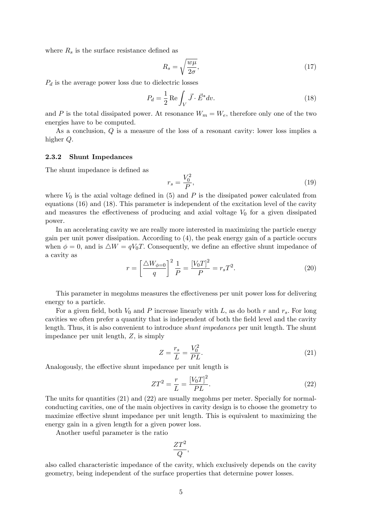where  $R_s$  is the surface resistance defined as

$$
R_s = \sqrt{\frac{w\mu}{2\sigma}},\tag{17}
$$

 $P_d$  is the average power loss due to dielectric losses

$$
P_d = \frac{1}{2} \operatorname{Re} \int_V \vec{J} \cdot \vec{E}^* dv. \tag{18}
$$

and P is the total dissipated power. At resonance  $W_m = W_e$ , therefore only one of the two energies have to be computed.

As a conclusion, Q is a measure of the loss of a resonant cavity: lower loss implies a higher Q.

#### 2.3.2 Shunt Impedances

The shunt impedance is defined as

$$
r_s = \frac{V_0^2}{P},\tag{19}
$$

where  $V_0$  is the axial voltage defined in (5) and P is the dissipated power calculated from equations (16) and (18). This parameter is independent of the excitation level of the cavity and measures the effectiveness of producing and axial voltage  $V_0$  for a given dissipated power.

In an accelerating cavity we are really more interested in maximizing the particle energy gain per unit power dissipation. According to (4), the peak energy gain of a particle occurs when  $\phi = 0$ , and is  $\Delta W = qV_0T$ . Consequently, we define an effective shunt impedance of a cavity as

$$
r = \left[\frac{\Delta W_{\phi=0}}{q}\right]^2 \frac{1}{P} = \frac{[V_0 T]^2}{P} = r_s T^2.
$$
 (20)

This parameter in megohms measures the effectiveness per unit power loss for delivering energy to a particle.

For a given field, both  $V_0$  and P increase linearly with L, as do both r and  $r_s$ . For long cavities we often prefer a quantity that is independent of both the field level and the cavity length. Thus, it is also convenient to introduce shunt impedances per unit length. The shunt impedance per unit length, Z, is simply

$$
Z = \frac{r_s}{L} = \frac{V_0^2}{PL}.
$$
\n(21)

Analogously, the effective shunt impedance per unit length is

$$
ZT^2 = \frac{r}{L} = \frac{[V_0T]^2}{PL}.
$$
\n(22)

The units for quantities (21) and (22) are usually megohms per meter. Specially for normalconducting cavities, one of the main objectives in cavity design is to choose the geometry to maximize effective shunt impedance per unit length. This is equivalent to maximizing the energy gain in a given length for a given power loss.

Another useful parameter is the ratio

$$
\frac{ZT^2}{Q},
$$

also called characteristic impedance of the cavity, which exclusively depends on the cavity geometry, being independent of the surface properties that determine power losses.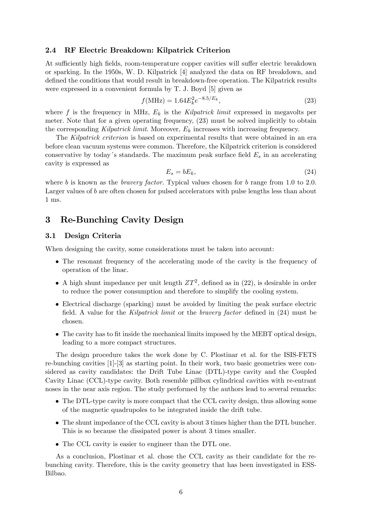#### 2.4 RF Electric Breakdown: Kilpatrick Criterion

At sufficiently high fields, room-temperature copper cavities will suffer electric breakdown or sparking. In the 1950s, W. D. Kilpatrick [4] analyzed the data on RF breakdown, and defined the conditions that would result in breakdown-free operation. The Kilpatrick results were expressed in a convenient formula by T. J. Boyd [5] given as

$$
f(\text{MHz}) = 1.64 E_k^2 e^{-8.5/E_k},\tag{23}
$$

where f is the frequency in MHz,  $E_k$  is the Kilpatrick limit expressed in megavolts per meter. Note that for a given operating frequency, (23) must be solved implicitly to obtain the corresponding Kilpatrick limit. Moreover,  $E_k$  increases with increasing frequency.

The Kilpatrick criterion is based on experimental results that were obtained in an era before clean vacuum systems were common. Therefore, the Kilpatrick criterion is considered conservative by today's standards. The maximum peak surface field  $E_s$  in an accelerating cavity is expressed as

$$
E_s = bE_k,\tag{24}
$$

where b is known as the *bravery factor*. Typical values chosen for b range from 1.0 to 2.0. Larger values of b are often chosen for pulsed accelerators with pulse lengths less than about 1 ms.

## 3 Re-Bunching Cavity Design

#### 3.1 Design Criteria

When designing the cavity, some considerations must be taken into account:

- The resonant frequency of the accelerating mode of the cavity is the frequency of operation of the linac.
- A high shunt impedance per unit length  $ZT^2$ , defined as in (22), is desirable in order to reduce the power consumption and therefore to simplify the cooling system.
- Electrical discharge (sparking) must be avoided by limiting the peak surface electric field. A value for the Kilpatrick limit or the bravery factor defined in  $(24)$  must be chosen.
- The cavity has to fit inside the mechanical limits imposed by the MEBT optical design, leading to a more compact structures.

The design procedure takes the work done by C. Plostinar et al. for the ISIS-FETS re-bunching cavities [1]-[3] as starting point. In their work, two basic geometries were considered as cavity candidates: the Drift Tube Linac (DTL)-type cavity and the Coupled Cavity Linac (CCL)-type cavity. Both resemble pillbox cylindrical cavities with re-entrant noses in the near axis region. The study performed by the authors lead to several remarks:

- The DTL-type cavity is more compact that the CCL cavity design, thus allowing some of the magnetic quadrupoles to be integrated inside the drift tube.
- The shunt impedance of the CCL cavity is about 3 times higher than the DTL buncher. This is so because the dissipated power is about 3 times smaller.
- The CCL cavity is easier to engineer than the DTL one.

As a conclusion, Plostinar et al. chose the CCL cavity as their candidate for the rebunching cavity. Therefore, this is the cavity geometry that has been investigated in ESS-Bilbao.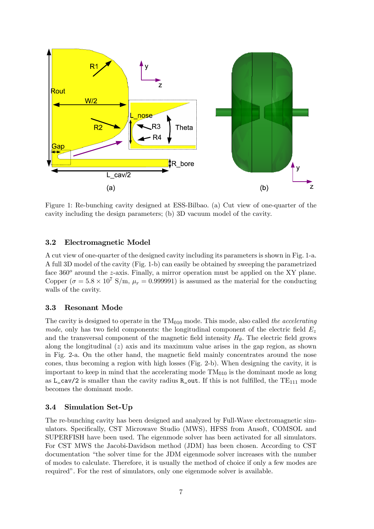

Figure 1: Re-bunching cavity designed at ESS-Bilbao. (a) Cut view of one-quarter of the cavity including the design parameters; (b) 3D vacuum model of the cavity.

#### 3.2 Electromagnetic Model

A cut view of one-quarter of the designed cavity including its parameters is shown in Fig. 1-a. A full 3D model of the cavity (Fig. 1-b) can easily be obtained by sweeping the parametrized face  $360^{\circ}$  around the z-axis. Finally, a mirror operation must be applied on the XY plane. Copper ( $\sigma = 5.8 \times 10^7$  S/m,  $\mu_r = 0.999991$ ) is assumed as the material for the conducting walls of the cavity.

#### 3.3 Resonant Mode

The cavity is designed to operate in the  $TM<sub>010</sub>$  mode. This mode, also called the accelerating mode, only has two field components: the longitudinal component of the electric field  $E_z$ and the transversal component of the magnetic field intensity  $H_{\theta}$ . The electric field grows along the longitudinal  $(z)$  axis and its maximum value arises in the gap region, as shown in Fig. 2-a. On the other hand, the magnetic Öeld mainly concentrates around the nose cones, thus becoming a region with high losses (Fig. 2-b). When designing the cavity, it is important to keep in mind that the accelerating mode  $TM<sub>010</sub>$  is the dominant mode as long as  $L_cav/2$  is smaller than the cavity radius R<sub>\_out.</sub> If this is not fulfilled, the TE<sub>111</sub> mode becomes the dominant mode.

#### 3.4 Simulation Set-Up

The re-bunching cavity has been designed and analyzed by Full-Wave electromagnetic simulators. Specifically, CST Microwave Studio (MWS), HFSS from Ansoft, COMSOL and SUPERFISH have been used. The eigenmode solver has been activated for all simulators. For CST MWS the Jacobi-Davidson method (JDM) has been chosen. According to CST documentation "the solver time for the JDM eigenmode solver increases with the number of modes to calculate. Therefore, it is usually the method of choice if only a few modes are required". For the rest of simulators, only one eigenmode solver is available.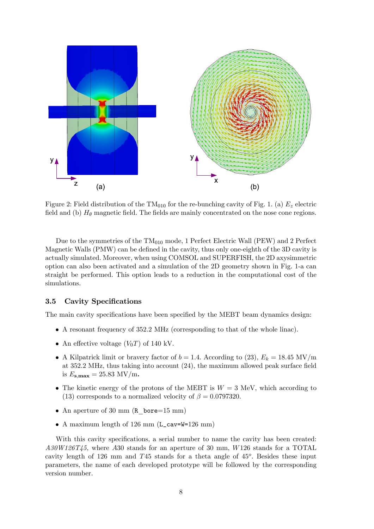

Figure 2: Field distribution of the  $TM<sub>010</sub>$  for the re-bunching cavity of Fig. 1. (a)  $E<sub>z</sub>$  electric field and (b)  $H_{\theta}$  magnetic field. The fields are mainly concentrated on the nose cone regions.

Due to the symmetries of the  $TM<sub>010</sub>$  mode, 1 Perfect Electric Wall (PEW) and 2 Perfect Magnetic Walls (PMW) can be defined in the cavity, thus only one-eighth of the 3D cavity is actually simulated. Moreover, when using COMSOL and SUPERFISH, the 2D axysimmetric option can also been activated and a simulation of the 2D geometry shown in Fig. 1-a can straight be performed. This option leads to a reduction in the computational cost of the simulations.

#### 3.5 Cavity Specifications

The main cavity specifications have been specified by the MEBT beam dynamics design:

- A resonant frequency of 352:2 MHz (corresponding to that of the whole linac).
- An effective voltage  $(V_0T)$  of 140 kV.
- A Kilpatrick limit or bravery factor of  $b = 1.4$ . According to (23),  $E_k = 18.45$  MV/m at  $352.2$  MHz, thus taking into account  $(24)$ , the maximum allowed peak surface field is  $E_{\rm s,max} = 25.83$  MV/m.
- The kinetic energy of the protons of the MEBT is  $W = 3$  MeV, which according to (13) corresponds to a normalized velocity of  $\beta = 0.0797320$ .
- An aperture of 30 mm (R bore=15 mm)
- A maximum length of 126 mm (L\_cav=W=126 mm)

With this cavity specifications, a serial number to name the cavity has been created:  $A30W126T45$ , where A30 stands for an aperture of 30 mm, W126 stands for a TOTAL cavity length of 126 mm and  $T45$  stands for a theta angle of  $45^{\circ}$ . Besides these input parameters, the name of each developed prototype will be followed by the corresponding version number.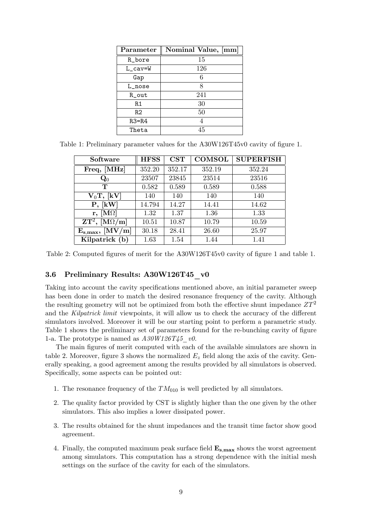| Parameter | Nominal Value, [mm] |
|-----------|---------------------|
| R bore    | 15                  |
| L_cav=W   | 126                 |
| Gap       | 6                   |
| L nose    | 8                   |
| R out     | 241                 |
| R1        | 30                  |
| R2        | 50                  |
| $R3=R4$   | 4                   |
| Theta     | 45                  |

Table 1: Preliminary parameter values for the A30W126T45v0 cavity of figure 1.

| Software                                                                    | <b>HFSS</b> | $\mathbf{CST}$ | <b>COMSOL</b> | <b>SUPERFISH</b> |
|-----------------------------------------------------------------------------|-------------|----------------|---------------|------------------|
| Freq, [MHz]                                                                 | 352.20      | 352.17         | 352.19        | 352.24           |
| $\mathbf{Q}_0$                                                              | 23507       | 23845          | 23514         | 23516            |
| т                                                                           | 0.582       | 0.589          | 0.589         | 0.588            |
| $V_0T$ , [kV]                                                               | 140         | 140            | 140           | 140              |
| P, [kW]                                                                     | 14.794      | 14.27          | 14.41         | 14.62            |
| $r, \vert M\Omega \vert$                                                    | 1.32        | 1.37           | 1.36          | 1.33             |
| $\mathbf{Z} \mathbf{T}^2$ , $\left[ \mathbf{M} \Omega / \mathbf{m} \right]$ | 10.51       | 10.87          | 10.79         | 10.59            |
| $\rm [MV/m]$<br>$\mathbf{E_{s,max}},$                                       | 30.18       | 28.41          | 26.60         | 25.97            |
| Kilpatrick (b)                                                              | 1.63        | 1.54           | 1.44          | 1.41             |

Table 2: Computed figures of merit for the A30W126T45v0 cavity of figure 1 and table 1.

#### 3.6 Preliminary Results: A30W126T45\_v0

Taking into account the cavity specifications mentioned above, an initial parameter sweep has been done in order to match the desired resonance frequency of the cavity. Although the resulting geometry will not be optimized from both the effective shunt impedance  $ZT^2$ and the Kilpatrick limit viewpoints, it will allow us to check the accuracy of the different simulators involved. Moreover it will be our starting point to perform a parametric study. Table 1 shows the preliminary set of parameters found for the re-bunching cavity of figure 1-a. The prototype is named as  $A30W126T45$  v0.

The main figures of merit computed with each of the available simulators are shown in table 2. Moreover, figure 3 shows the normalized  $E<sub>z</sub>$  field along the axis of the cavity. Generally speaking, a good agreement among the results provided by all simulators is observed. Specifically, some aspects can be pointed out:

- 1. The resonance frequency of the  $TM_{010}$  is well predicted by all simulators.
- 2. The quality factor provided by CST is slightly higher than the one given by the other simulators. This also implies a lower dissipated power.
- 3. The results obtained for the shunt impedances and the transit time factor show good agreement.
- 4. Finally, the computed maximum peak surface field  $E_{s,max}$  shows the worst agreement among simulators. This computation has a strong dependence with the initial mesh settings on the surface of the cavity for each of the simulators.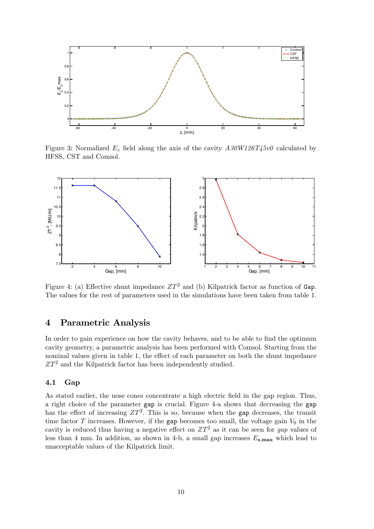

Figure 3: Normalized  $E_z$  field along the axis of the cavity  $A30W126T45v0$  calculated by HFSS, CST and Comsol.



Figure 4: (a) Effective shunt impedance  $ZT^2$  and (b) Kilpatrick factor as function of Gap. The values for the rest of parameters used in the simulations have been taken from table 1.

### 4 Parametric Analysis

In order to gain experience on how the cavity behaves, and to be able to find the optimum cavity geometry, a parametric analysis has been performed with Comsol. Starting from the nominal values given in table 1, the effect of each parameter on both the shunt impedance  $ZT^2$  and the Kilpatrick factor has been independently studied.

#### 4.1 Gap

As stated earlier, the nose cones concentrate a high electric field in the gap region. Thus, a right choice of the parameter gap is crucial. Figure 4-a shows that decreasing the gap has the effect of increasing  $ZT^2$ . This is so, because when the gap decreases, the transit time factor T increases. However, if the gap becomes too small, the voltage gain  $V_0$  in the cavity is reduced thus having a negative effect on  $ZT^2$  as it can be seen for gap values of less than 4 mm. In addition, as shown in 4-b, a small gap increases  $E_{\rm s,max}$  which lead to unacceptable values of the Kilpatrick limit.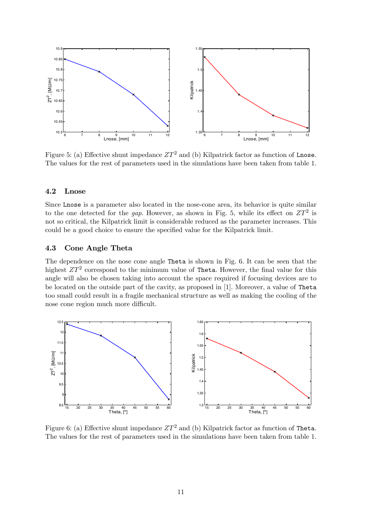

Figure 5: (a) Effective shunt impedance  $ZT^2$  and (b) Kilpatrick factor as function of Lnose. The values for the rest of parameters used in the simulations have been taken from table 1.

#### 4.2 Lnose

Since Lnose is a parameter also located in the nose-cone area, its behavior is quite similar to the one detected for the gap. However, as shown in Fig. 5, while its effect on  $ZT^2$  is not so critical, the Kilpatrick limit is considerable reduced as the parameter increases. This could be a good choice to ensure the specified value for the Kilpatrick limit.

#### 4.3 Cone Angle Theta

The dependence on the nose cone angle Theta is shown in Fig. 6. It can be seen that the highest  $ZT^2$  correspond to the minimum value of Theta. However, the final value for this angle will also be chosen taking into account the space required if focusing devices are to be located on the outside part of the cavity, as proposed in [1]. Moreover, a value of Theta too small could result in a fragile mechanical structure as well as making the cooling of the nose cone region much more difficult.



Figure 6: (a) Effective shunt impedance  $ZT^2$  and (b) Kilpatrick factor as function of Theta. The values for the rest of parameters used in the simulations have been taken from table 1.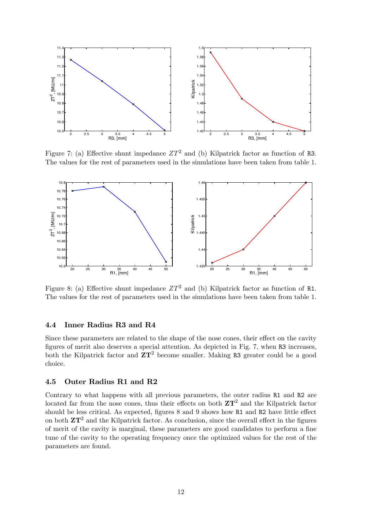

Figure 7: (a) Effective shunt impedance  $ZT^2$  and (b) Kilpatrick factor as function of R3. The values for the rest of parameters used in the simulations have been taken from table 1.



Figure 8: (a) Effective shunt impedance  $ZT^2$  and (b) Kilpatrick factor as function of R1. The values for the rest of parameters used in the simulations have been taken from table 1.

#### 4.4 Inner Radius R3 and R4

Since these parameters are related to the shape of the nose cones, their effect on the cavity figures of merit also deserves a special attention. As depicted in Fig. 7, when R3 increases, both the Kilpatrick factor and  $\mathbb{Z}T^2$  become smaller. Making R3 greater could be a good choice.

#### 4.5 Outer Radius R1 and R2

Contrary to what happens with all previous parameters, the outer radius R1 and R2 are located far from the nose cones, thus their effects on both  $ZT^2$  and the Kilpatrick factor should be less critical. As expected, figures  $8$  and  $9$  shows how R1 and R2 have little effect on both  $ZT<sup>2</sup>$  and the Kilpatrick factor. As conclusion, since the overall effect in the figures of merit of the cavity is marginal, these parameters are good candidates to perform a fine tune of the cavity to the operating frequency once the optimized values for the rest of the parameters are found.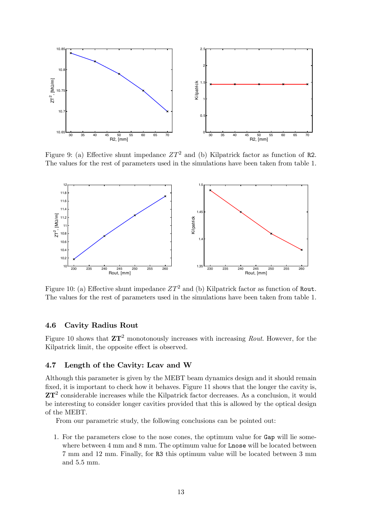

Figure 9: (a) Effective shunt impedance  $ZT^2$  and (b) Kilpatrick factor as function of R2. The values for the rest of parameters used in the simulations have been taken from table 1.



Figure 10: (a) Effective shunt impedance  $ZT^2$  and (b) Kilpatrick factor as function of Rout. The values for the rest of parameters used in the simulations have been taken from table 1.

#### 4.6 Cavity Radius Rout

Figure 10 shows that  $ZT^2$  monotonously increases with increasing Rout. However, for the Kilpatrick limit, the opposite effect is observed.

#### 4.7 Length of the Cavity: Lcav and W

Although this parameter is given by the MEBT beam dynamics design and it should remain fixed, it is important to check how it behaves. Figure 11 shows that the longer the cavity is,  $ZT<sup>2</sup>$  considerable increases while the Kilpatrick factor decreases. As a conclusion, it would be interesting to consider longer cavities provided that this is allowed by the optical design of the MEBT.

From our parametric study, the following conclusions can be pointed out:

1. For the parameters close to the nose cones, the optimum value for Gap will lie somewhere between 4 mm and 8 mm. The optimum value for Lnose will be located between 7 mm and 12 mm. Finally, for R3 this optimum value will be located between 3 mm and 5:5 mm.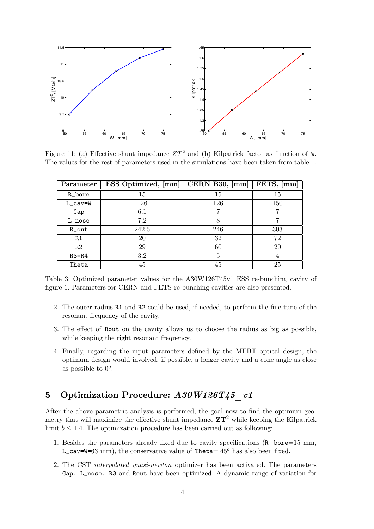

Figure 11: (a) Effective shunt impedance  $ZT^2$  and (b) Kilpatrick factor as function of W. The values for the rest of parameters used in the simulations have been taken from table 1.

| Parameter      | <b>ESS</b> Optimized, [mm] | CERN B30, ${\rm [mm]}$ | FETS, [mm] |
|----------------|----------------------------|------------------------|------------|
| R_bore         | 15                         | 15                     | 15         |
| $L_{cav} = W$  | 126                        | 126                    | 150        |
| Gap            | 6.1                        | 7                      |            |
| L_nose         | 7.2                        |                        |            |
| R_out          | 242.5                      | 246                    | 303        |
| R1             | 20                         | 32                     | 72         |
| R <sub>2</sub> | 29                         | 60                     | 20         |
| $R3=R4$        | 3.2                        | 5                      |            |
| Theta          | 45                         | 45                     | 25         |

Table 3: Optimized parameter values for the A30W126T45v1 ESS re-bunching cavity of Ögure 1. Parameters for CERN and FETS re-bunching cavities are also presented.

- 2. The outer radius R1 and R2 could be used, if needed, to perform the fine tune of the resonant frequency of the cavity.
- 3. The effect of Rout on the cavity allows us to choose the radius as big as possible, while keeping the right resonant frequency.
- 4. Finally, regarding the input parameters defined by the MEBT optical design, the optimum design would involved, if possible, a longer cavity and a cone angle as close as possible to  $0^o$ .

## 5 Optimization Procedure: A30W126T45\_v1

After the above parametric analysis is performed, the goal now to find the optimum geometry that will maximize the effective shunt impedance  $ZT^2$  while keeping the Kilpatrick limit  $b \leq 1.4$ . The optimization procedure has been carried out as following:

- 1. Besides the parameters already fixed due to cavity specifications (R\_bore=15 mm, L\_cav=W=63 mm), the conservative value of Theta=  $45^{\circ}$  has also been fixed.
- 2. The CST interpolated quasi-newton optimizer has been activated. The parameters Gap, L\_nose, R3 and Rout have been optimized. A dynamic range of variation for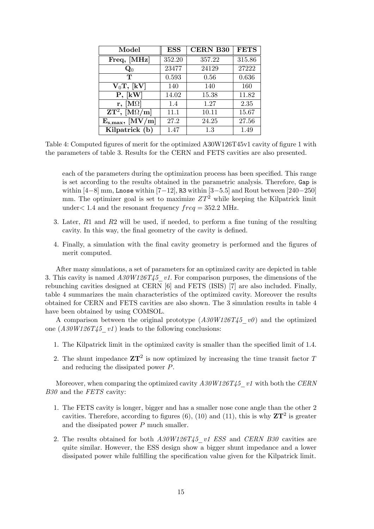| Model                               | <b>ESS</b> | <b>CERN B30</b> | <b>FETS</b> |
|-------------------------------------|------------|-----------------|-------------|
| Freq, [MHz]                         | 352.20     | 357.22          | 315.86      |
| $\mathbf{Q}_0$                      | 23477      | 24129           | 27222       |
| т                                   | 0.593      | 0.56            | 0.636       |
| $V_0T$ , [kV]                       | 140        | 140             | 160         |
| P, [kW]                             | 14.02      | 15.38           | 11.82       |
| $\mathbf{r}, \, [\mathbf{M}\Omega]$ | 1.4        | 1.27            | 2.35        |
| $\overline{\rm ZT^2,~[M\Omega/m]}$  | 11.1       | 10.11           | 15.67       |
| $E_{s,max}, [MV/m]$                 | 27.2       | 24.25           | 27.56       |
| Kilpatrick (b)                      | 1.47       | 1.3             | 1.49        |

Table 4: Computed figures of merit for the optimized A30W126T45v1 cavity of figure 1 with the parameters of table 3. Results for the CERN and FETS cavities are also presented.

each of the parameters during the optimization process has been specified. This range is set according to the results obtained in the parametric analysis. Therefore, Gap is within  $[4-8]$  mm, Lnose within  $[7-12]$ , R3 within  $[3-5.5]$  and Rout between  $[240-250]$ mm. The optimizer goal is set to maximize  $ZT^2$  while keeping the Kilpatrick limit under  $1.4$  and the resonant frequency  $freq = 352.2$  MHz.

- 3. Later,  $R1$  and  $R2$  will be used, if needed, to perform a fine tuning of the resulting cavity. In this way, the final geometry of the cavity is defined.
- 4. Finally, a simulation with the final cavity geometry is performed and the figures of merit computed.

After many simulations, a set of parameters for an optimized cavity are depicted in table 3. This cavity is named  $A30W126T45$  v1. For comparison purposes, the dimensions of the rebunching cavities designed at CERN [6] and FETS (ISIS) [7] are also included. Finally, table 4 summarizes the main characteristics of the optimized cavity. Moreover the results obtained for CERN and FETS cavities are also shown. The 3 simulation results in table 4 have been obtained by using COMSOL.

A comparison between the original prototype  $(A30W126T45\ v0)$  and the optimized one  $(A30W126T45\text{ }v1)$  leads to the following conclusions:

- 1. The Kilpatrick limit in the optimized cavity is smaller than the specified limit of 1.4.
- 2. The shunt impedance  $ZT^2$  is now optimized by increasing the time transit factor T and reducing the dissipated power P.

Moreover, when comparing the optimized cavity  $A30W126T45$  v1 with both the CERN B30 and the FETS cavity:

- 1. The FETS cavity is longer, bigger and has a smaller nose cone angle than the other 2 cavities. Therefore, according to figures (6), (10) and (11), this is why  $ZT^2$  is greater and the dissipated power  $P$  much smaller.
- 2. The results obtained for both  $A30W126T45$  v1 ESS and CERN B30 cavities are quite similar. However, the ESS design show a bigger shunt impedance and a lower dissipated power while fulfilling the specification value given for the Kilpatrick limit.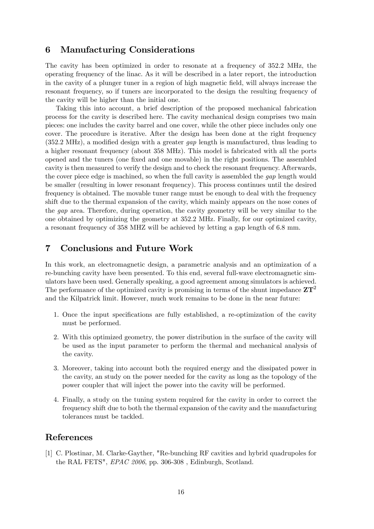## 6 Manufacturing Considerations

The cavity has been optimized in order to resonate at a frequency of 352:2 MHz, the operating frequency of the linac. As it will be described in a later report, the introduction in the cavity of a plunger tuner in a region of high magnetic Öeld, will always increase the resonant frequency, so if tuners are incorporated to the design the resulting frequency of the cavity will be higher than the initial one.

Taking this into account, a brief description of the proposed mechanical fabrication process for the cavity is described here. The cavity mechanical design comprises two main pieces: one includes the cavity barrel and one cover, while the other piece includes only one cover. The procedure is iterative. After the design has been done at the right frequency  $(352.2 \text{ MHz})$ , a modified design with a greater gap length is manufactured, thus leading to a higher resonant frequency (about 358 MHz). This model is fabricated with all the ports opened and the tuners (one Öxed and one movable) in the right positions. The assembled cavity is then measured to verify the design and to check the resonant frequency. Afterwards, the cover piece edge is machined, so when the full cavity is assembled the gap length would be smaller (resulting in lower resonant frequency). This process continues until the desired frequency is obtained. The movable tuner range must be enough to deal with the frequency shift due to the thermal expansion of the cavity, which mainly appears on the nose cones of the gap area. Therefore, during operation, the cavity geometry will be very similar to the one obtained by optimizing the geometry at 352:2 MHz. Finally, for our optimized cavity, a resonant frequency of 358 MHZ will be achieved by letting a gap length of 6:8 mm.

## 7 Conclusions and Future Work

In this work, an electromagnetic design, a parametric analysis and an optimization of a re-bunching cavity have been presented. To this end, several full-wave electromagnetic simulators have been used. Generally speaking, a good agreement among simulators is achieved. The performance of the optimized cavity is promising in terms of the shunt impedance  $ZT^2$ and the Kilpatrick limit. However, much work remains to be done in the near future:

- 1. Once the input specifications are fully established, a re-optimization of the cavity must be performed.
- 2. With this optimized geometry, the power distribution in the surface of the cavity will be used as the input parameter to perform the thermal and mechanical analysis of the cavity.
- 3. Moreover, taking into account both the required energy and the dissipated power in the cavity, an study on the power needed for the cavity as long as the topology of the power coupler that will inject the power into the cavity will be performed.
- 4. Finally, a study on the tuning system required for the cavity in order to correct the frequency shift due to both the thermal expansion of the cavity and the manufacturing tolerances must be tackled.

### References

[1] C. Plostinar, M. Clarke-Gayther, "Re-bunching RF cavities and hybrid quadrupoles for the RAL FETS", EPAC 2006, pp. 306-308 , Edinburgh, Scotland.